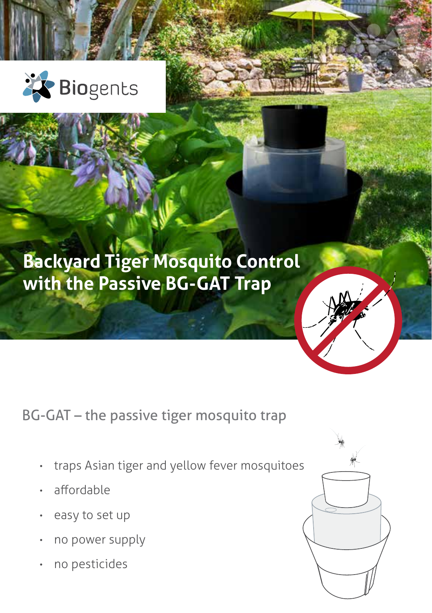

# **Backyard Tiger Mosquito Control with the Passive BG-GAT Trap**



- traps Asian tiger and yellow fever mosquitoes
- affordable
- easy to set up
- no power supply
- no pesticides

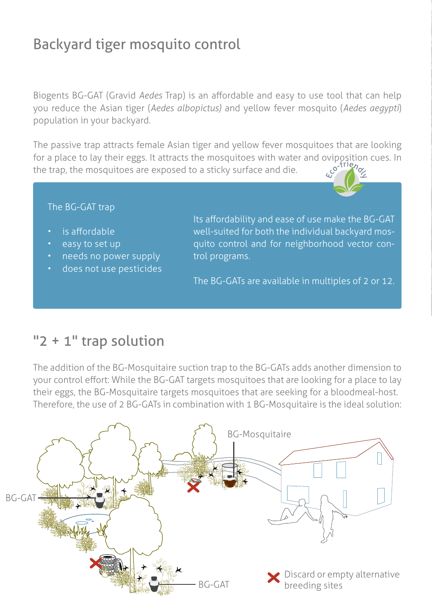## Backyard tiger mosquito control

Biogents BG-GAT (Gravid *Aedes* Trap) is an affordable and easy to use tool that can help you reduce the Asian tiger (*Aedes albopictus)* and yellow fever mosquito (*Aedes aegypti*) population in your backyard.

The passive trap attracts female Asian tiger and yellow fever mosquitoes that are looking for a place to lay their eggs. It attracts the mosquitoes with water and oviposition cues. In the tran the mosquitoes are exposed to a sticky surface and discussion of the surface. the trap, the mosquitoes are exposed to a sticky surface and die.

#### The BG-GAT trap

- is affordable
- easy to set up
- needs no power supply
- does not use pesticides

Its affordability and ease of use make the BG-GAT well-suited for both the individual backyard mosquito control and for neighborhood vector control programs.

The BG-GATs are available in multiples of 2 or 12.

#### "2 + 1" trap solution

The addition of the BG-Mosquitaire suction trap to the BG-GATs adds another dimension to your control effort: While the BG-GAT targets mosquitoes that are looking for a place to lay their eggs, the BG-Mosquitaire targets mosquitoes that are seeking for a bloodmeal-host. Therefore, the use of 2 BG-GATs in combination with 1 BG-Mosquitaire is the ideal solution:

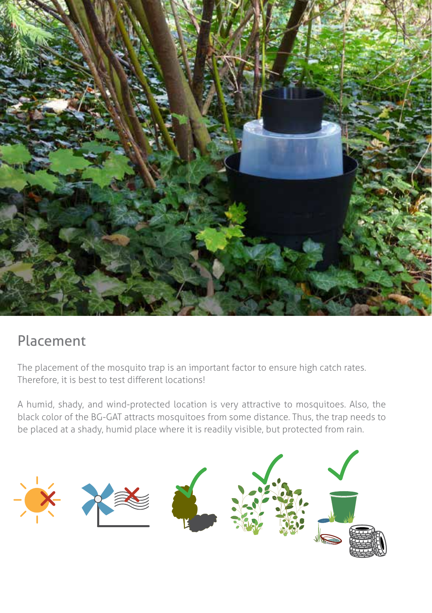

### Placement

The placement of the mosquito trap is an important factor to ensure high catch rates. Therefore, it is best to test different locations!

A humid, shady, and wind-protected location is very attractive to mosquitoes. Also, the black color of the BG-GAT attracts mosquitoes from some distance. Thus, the trap needs to be placed at a shady, humid place where it is readily visible, but protected from rain.